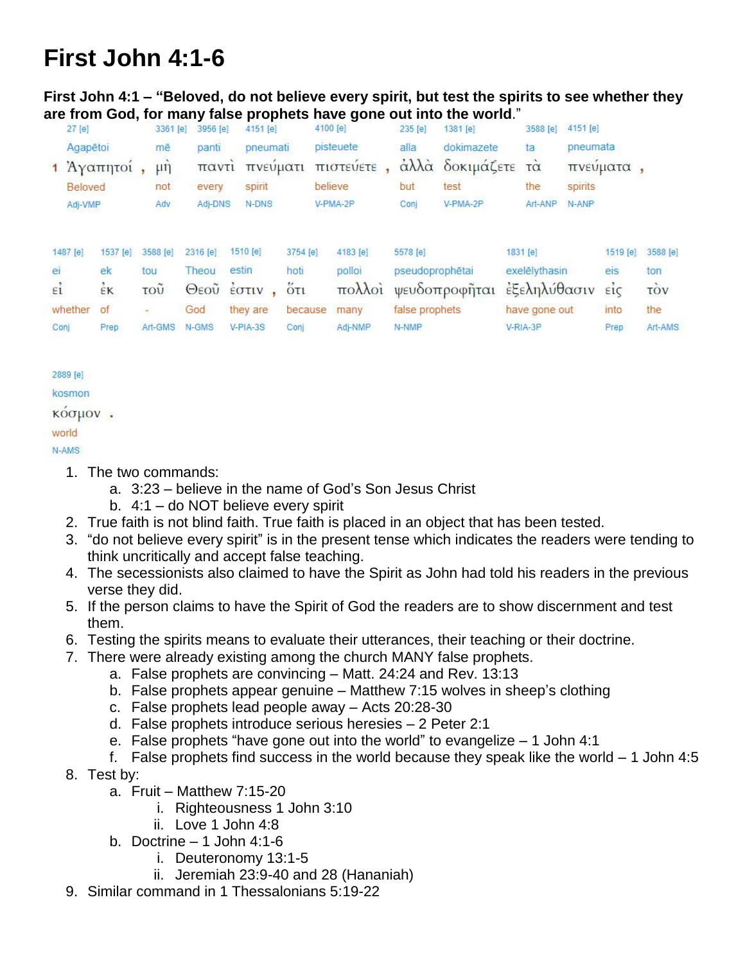## **First John 4:1-6**

**First John 4:1 – "Beloved, do not believe every spirit, but test the spirits to see whether they are from God, for many false prophets have gone out into the world**."

| 27 [e]         |          | 3361 [e] | 3956 [e]     | 4151 [e]                                      |           | 4100 [e]  | 235 [e]         | 1381 [e]        | 3588 [e]                | 4151 [e] |          |          |  |
|----------------|----------|----------|--------------|-----------------------------------------------|-----------|-----------|-----------------|-----------------|-------------------------|----------|----------|----------|--|
| Agapētoi       |          | mē       | panti        | pneumati                                      |           | pisteuete | alla            | dokimazete      | ta                      |          | pneumata |          |  |
| 1 Άγαπητοί     |          | $\mu$ ŋ  | παντι        | πνευματι                                      |           | πιστευετε |                 | άλλα δοκιμάζετε | $\overline{\tau\alpha}$ |          | πνευματα |          |  |
| <b>Beloved</b> |          | not      | every        | spirit                                        |           | believe   | but             | test            | the                     | spirits  |          |          |  |
| Adj-VMP        |          | Adv      | Adj-DNS      | N-DNS                                         |           | V-PMA-2P  | Conj            | V-PMA-2P        | Art-ANP                 | N-ANP    |          |          |  |
|                |          |          |              |                                               |           |           |                 |                 |                         |          |          |          |  |
| 1487 [e]       | 1537 [e] | 3588 [e] | 2316 [e]     | 1510 [e]                                      | 3754 [e]  | 4183 [e]  | 5578 [e]        |                 | 1831 [e]                |          | 1519 [e] | 3588 [e] |  |
| ei             | ek       | tou      | Theou        | estin                                         | hoti      | polloi    | pseudoprophētai |                 | exelēlythasin           |          | eis      | ton      |  |
| $\epsilon_1$   | EK       | τοῦ      | $\Theta$ εοῦ | $\frac{1}{2}$ $\sigma$ $\frac{1}{2}$ $\sigma$ | $5\tau_1$ | πολλοί    |                 | ψευδοπροφήται   | έξεληλύθασιν είς        |          |          | τòν      |  |
| whether        | of       |          | God          | they are                                      | because   | many      | false prophets  |                 | have gone out           |          | into     | the      |  |
| Coni           | Prep     | Art-GMS  | N-GMS        | $V-PIA-3S$                                    | Conj      | Adj-NMP   | N-NMP           |                 | $V-RIA-3P$              |          | Prep     | Art-AMS  |  |

## 2889 [e] kosmon κόσμον. world

N-AMS

- 1. The two commands:
	- a. 3:23 believe in the name of God's Son Jesus Christ
	- b. 4:1 do NOT believe every spirit
- 2. True faith is not blind faith. True faith is placed in an object that has been tested.
- 3. "do not believe every spirit" is in the present tense which indicates the readers were tending to think uncritically and accept false teaching.
- 4. The secessionists also claimed to have the Spirit as John had told his readers in the previous verse they did.
- 5. If the person claims to have the Spirit of God the readers are to show discernment and test them.
- 6. Testing the spirits means to evaluate their utterances, their teaching or their doctrine.
- 7. There were already existing among the church MANY false prophets.
	- a. False prophets are convincing Matt. 24:24 and Rev. 13:13
	- b. False prophets appear genuine Matthew 7:15 wolves in sheep's clothing
	- c. False prophets lead people away Acts 20:28-30
	- d. False prophets introduce serious heresies 2 Peter 2:1
	- e. False prophets "have gone out into the world" to evangelize 1 John 4:1
	- f. False prophets find success in the world because they speak like the world 1 John 4:5
- 8. Test by:
	- a. Fruit Matthew 7:15-20
		- i. Righteousness 1 John 3:10
		- ii. Love 1 John 4:8
	- b. Doctrine  $-1$  John 4:1-6
		- i. Deuteronomy 13:1-5
		- ii. Jeremiah 23:9-40 and 28 (Hananiah)
- 9. Similar command in 1 Thessalonians 5:19-22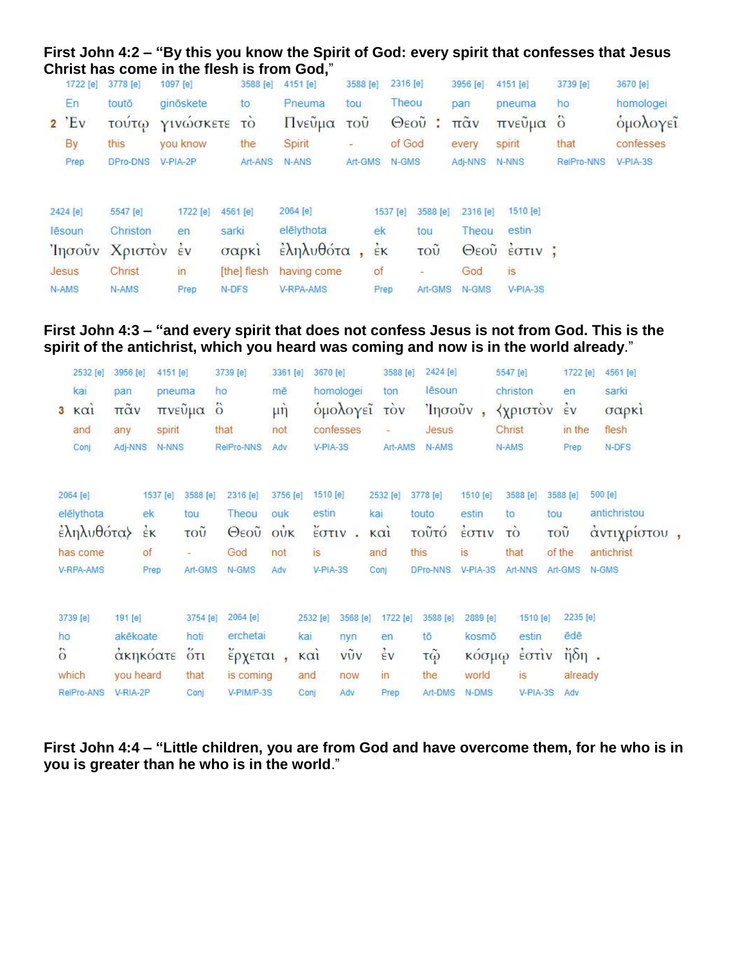## **First John 4:2 – "By this you know the Spirit of God: every spirit that confesses that Jesus Christ has come in the flesh is from God,**"

|           | 1722 [e] | 3778 [e]       | 1097 [e]       | 3588 [e]    | 4151 [e]    | 3588 [e]      | 2316 [e]           |                           | 3956 [e]             | 4151 [e]     | 3739 [e]   | 3670 [e]  |
|-----------|----------|----------------|----------------|-------------|-------------|---------------|--------------------|---------------------------|----------------------|--------------|------------|-----------|
|           | En       | toutō          | ginöskete      | to          | Pneuma      | tou           | Theou              |                           | pan                  | pneuma       | ho         | homologei |
| $2$ $'Ev$ |          | τουτω          | ΥΙΝώσκετε      | TO          | Πνεῦμα      | $TO\tilde{U}$ |                    | Θεοῦ<br>÷                 | $\pi\tilde{\alpha}v$ | πνεὖμα ὃ     |            | ομολογεί  |
|           | By       | this           | you know       | the         | Spirit      |               | of God             |                           | every                | spirit       | that       | confesses |
|           | Prep     | DPro-DNS       | V-PIA-2P       | Art-ANS     | N-ANS:      | Art-GMS       | N-GMS              |                           | Adj-NNS              | N-NNS        | RelPro-NNS | V-PIA-3S  |
| 2424 [e]  |          | 5547 [e]       | 1722 [e]       | 4561 [e]    | 2064 [e]    |               | 1537 [e]           | 3588 [e]                  | 2316 [e]             | 1510 [e]     |            |           |
| lēsoun    |          | Christon       | en             | sarki       | elēlythota  |               | ek                 | tou                       | Theou                | estin        |            |           |
|           |          | Ίησοὖν Χριστόν | $\frac{1}{2}v$ | σαρκί       | εληλυθότα   |               | $\dot{\epsilon}$ K | $\overline{\mathrm{row}}$ |                      | Θεοὖ έστιν ; |            |           |
| Jesus     |          | Christ         | in             | [the] flesh | having come |               | of                 | $\overline{\phantom{a}}$  | God                  | is.          |            |           |
| N-AMS     |          | N-AMS          | Prep           | N-DFS       | V-RPA-AMS   |               | Prep               | Art-GMS                   | N-GMS                | $V-PIA-3S$   |            |           |

## **First John 4:3 – "and every spirit that does not confess Jesus is not from God. This is the spirit of the antichrist, which you heard was coming and now is in the world already**."

|                 | 2532 [e]   | 3956 [e]             | 4151 [e]      |          | 3739 [e]       | 3361 [e]         | 3670 [e]                       |           | 3588 [e]       | 2424 [e] |          | 5547 [e]                                      | 1722 [e]                       | 4561 [e]     |  |
|-----------------|------------|----------------------|---------------|----------|----------------|------------------|--------------------------------|-----------|----------------|----------|----------|-----------------------------------------------|--------------------------------|--------------|--|
|                 | kai        | pan                  | pneuma        |          | ho             | mē               |                                | homologei | ton            | lēsoun   |          | christon                                      | en                             | sarki        |  |
|                 | 3 KQ1      | $\pi\tilde{\alpha}v$ |               | πνεὖμα   | $\ddot{\circ}$ | $\mu \hat{\eta}$ |                                |           | ομολογεί τον   | Ίησοῦν,  |          | <b><i><u>Υχριστον</u></i></b>                 | $\frac{1}{2}v$                 | σαρκί        |  |
|                 | and        | any                  | spirit        |          | that           | not              |                                | confesses |                | Jesus    |          | Christ                                        | in the                         | flesh        |  |
|                 | Conj       | Adj-NNS              | N-NNS         |          | RelPro-NNS     | Adv              | V-PIA-3S                       |           | Art-AMS        | N-AMS    |          | N-AMS                                         | Prep                           | N-DFS        |  |
|                 |            |                      |               |          |                |                  |                                |           |                |          |          |                                               |                                |              |  |
|                 | 2064 [e]   |                      | 1537 [e]      | 3588 [e] | 2316 [e]       | 3756 [e]         | 1510 [e]                       |           | 2532 [e]       | 3778 [e] | 1510 [e] | 3588 [e]                                      | 3588 [e]                       | 500 [e]      |  |
|                 | elēlythota |                      | ek            | tou      | Theou          | ouk              | estin                          |           | kai            | touto    | estin    | to                                            | tou                            | antichristou |  |
|                 | έληλυθότα} |                      | $\frac{1}{2}$ | τοῦ      | Θεοῦ           | OUK              | έστιν                          |           | $k\alpha i$    | τοῦτό    | έστιν    | τò                                            | $\tilde{100}$                  | άντιχρίστου, |  |
|                 | has come   |                      | of            |          | God            | not              | is                             |           | and            | this     | is       | that                                          | of the                         | antichrist   |  |
|                 | V-RPA-AMS  |                      | Prep          | Art-GMS  | N-GMS          | Adv              | V-PIA-3S                       |           | Conj           | DPro-NNS | V-PIA-3S | Art-NNS                                       | Art-GMS                        | N-GMS        |  |
|                 |            |                      |               |          |                |                  |                                |           |                |          |          |                                               |                                |              |  |
|                 | 3739 [e]   | 191 [e]              |               | 3754 [e] | 2064 [e]       |                  | 2532 [e]                       | 3568 [e]  | 1722 [e]       | 3588 [e] | 2889 [e] | 1510 [e]                                      | 2235 [e]                       |              |  |
| ho              |            | akēkoate             |               | hoti     | erchetai       |                  | kai                            | nyn       | en             | tō       | kosmō    | estin                                         | ēdē                            |              |  |
| $\ddot{\delta}$ |            |                      | ακηκόατε      | 5T1      | έρχεται,       |                  | $\kappa$ $\alpha$ <sub>1</sub> | vũy       | $\frac{2}{5}v$ | τῷ       | κόσμω    | $\frac{1}{2}$ $\sigma$ $\frac{1}{2}$ $\sigma$ | $\frac{1}{\eta \delta \eta}$ . |              |  |
|                 | which      |                      | you heard     | that     | is coming      |                  | and                            | now       | in             | the      | world    | is                                            | already                        |              |  |
|                 | RelPro-ANS | V-RIA-2P             |               | Conj     | V-PIM/P-3S     |                  | Conj                           | Adv       | Prep           | Art-DMS  | N-DMS    | V-PIA-3S                                      | Adv                            |              |  |
|                 |            |                      |               |          |                |                  |                                |           |                |          |          |                                               |                                |              |  |

**First John 4:4 – "Little children, you are from God and have overcome them, for he who is in you is greater than he who is in the world**."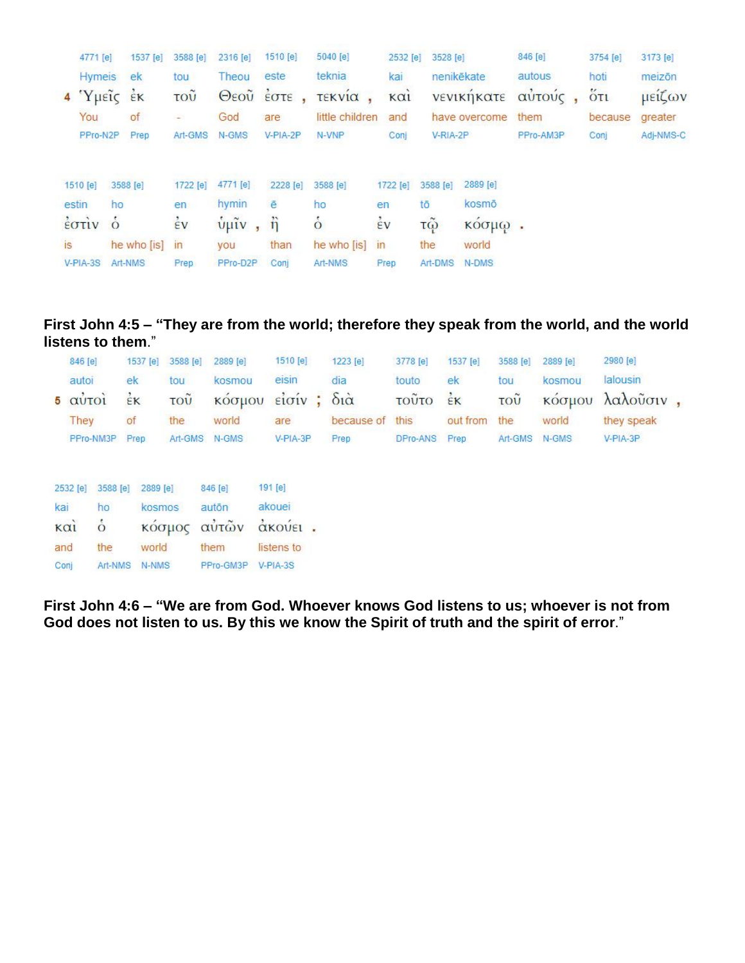| 4771 [e]          |               | 1537 [e]                | 3588 [e]           | 2316 [e]                                        | 1510 [e]            | 5040 [e]           | 2532 [e]        | 3528 [e]             |               | 846 [e]   |      | 3754 [e] | 3173 [e]  |
|-------------------|---------------|-------------------------|--------------------|-------------------------------------------------|---------------------|--------------------|-----------------|----------------------|---------------|-----------|------|----------|-----------|
|                   | <b>Hymeis</b> | ek                      | tou                | Theou                                           | este                | teknia             | kai             |                      | nenikēkate    | autous    | hoti |          | meizōn    |
| $4$ $Y$ $\mu$ είς |               | $\epsilon$ <sub>K</sub> | τοũ                |                                                 | Θεού έστε,          | τεκνία             | K <sub>Q1</sub> |                      | νενικηκατε    | αὐτούς    |      | $5\pi$   | μείζων    |
| You               |               | of                      | $\sim$             | God                                             | are                 | little children    | and             |                      | have overcome | them      |      | because  | greater   |
|                   | PPro-N2P      | Prep                    | Art-GMS            | N-GMS                                           | V-PIA-2P            | N-VNP              | Conj            | V-RIA-2P             |               | PPro-AM3P | Conj |          | Adj-NMS-C |
|                   |               |                         |                    |                                                 |                     |                    |                 |                      |               |           |      |          |           |
| 1510 [e]          |               | 3588 [e]                | 1722 [e]           | 4771 [e]                                        | 2228 [e]            | 3588 [e]           | 1722 [e]        | 3588 [e]             | 2889 [e]      |           |      |          |           |
| estin             | ho            |                         | en.                | hymin                                           | ē                   | ho                 | en              | tō                   | kosmō         |           |      |          |           |
| έστιν ό           |               |                         | $\dot{\epsilon}$ v | $\frac{\hat{v}}{\hat{v}}$ $\hat{u}$ $\hat{v}$ , | $\ddot{\mathbf{n}}$ | $\dot{\mathbf{o}}$ | $\frac{1}{2}v$  | $\tilde{\mathbf{C}}$ | ΚΟσμω.        |           |      |          |           |
| is                |               | he who [is]             | in                 | <b>VOU</b>                                      | than                | he who [is]        | in              | the                  | world         |           |      |          |           |
| $V-PIA-3S$        |               | Art-NMS                 | Prep               | PPro-D2P                                        | Conj                | Art-NMS            | Prep            | Art-DMS              | N-DMS         |           |      |          |           |

**First John 4:5 – "They are from the world; therefore they speak from the world, and the world listens to them**."

| 846 [e]                         |              | 1537 [e] 3588 [e] 2889 [e] |        | 1510 [e] | 1223 [e]          | 3778 [e]              | 1537 [e]     | 3588 [e]      | 2889 [e] | 2980 [e]             |  |
|---------------------------------|--------------|----------------------------|--------|----------|-------------------|-----------------------|--------------|---------------|----------|----------------------|--|
| autoi                           | ek           | tou                        | kosmou | eisin    | dia               | touto                 | ek           | tou           | kosmou   | lalousin             |  |
| $5 \alpha \dot{v}$ To $\dot{a}$ | $\epsilon$ K | $\overline{\mathrm{TOU}}$  |        |          | κόσμου είσίν; διὰ | τοῦτο $\frac{1}{5}$ κ |              |               |          | τοῦ κόσμου λαλοῦσιν, |  |
| They                            | of           | the                        | world  | are      | because of this   |                       | out from the |               | world    | they speak           |  |
| PPro-NM3P Prep                  |              | Art-GMS N-GMS              |        | V-PIA-3P | Prep              | DPro-ANS Prep         |              | Art-GMS N-GMS |          | V-PIA-3P             |  |
|                                 |              |                            |        |          |                   |                       |              |               |          |                      |  |

| 2532 [e]          |               | 3588 [e] 2889 [e] | 846 [e]   | 191 [e]    |  |
|-------------------|---------------|-------------------|-----------|------------|--|
| kai               | ho            | kosmos            | autōn     | akouei     |  |
| $\kappa$ $\alpha$ | $\dot{\circ}$ | κόσμος αυτών      |           | άκούει.    |  |
| and               | the           | world             | them      | listens to |  |
| Conj              | Art-NMS       | N-NMS             | PPro-GM3P | V-PIA-3S   |  |

**First John 4:6 – "We are from God. Whoever knows God listens to us; whoever is not from God does not listen to us. By this we know the Spirit of truth and the spirit of error**."